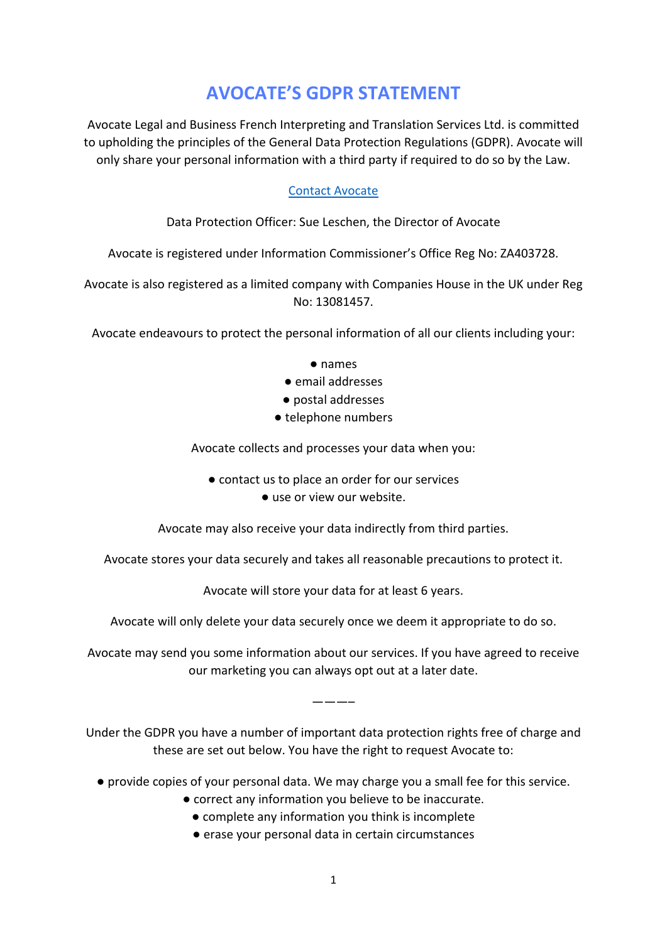## **AVOCATE'S GDPR STATEMENT**

Avocate Legal and Business French Interpreting and Translation Services Ltd. is committed to upholding the principles of the General Data Protection Regulations (GDPR). Avocate will only share your personal information with a third party if required to do so by the Law.

## [Contact Avocate](https://avocate.co.uk/contact/)

## Data Protection Officer: Sue Leschen, the Director of Avocate

Avocate is registered under Information Commissioner's Office Reg No: ZA403728.

Avocate is also registered as a limited company with Companies House in the UK under Reg No: 13081457.

Avocate endeavours to protect the personal information of all our clients including your:

- names
- email addresses
- postal addresses
- telephone numbers

Avocate collects and processes your data when you:

- contact us to place an order for our services
	- use or view our website.

Avocate may also receive your data indirectly from third parties.

Avocate stores your data securely and takes all reasonable precautions to protect it.

Avocate will store your data for at least 6 years.

Avocate will only delete your data securely once we deem it appropriate to do so.

Avocate may send you some information about our services. If you have agreed to receive our marketing you can always opt out at a later date.

Under the GDPR you have a number of important data protection rights free of charge and these are set out below. You have the right to request Avocate to:

———–

- provide copies of your personal data. We may charge you a small fee for this service.
	- correct any information you believe to be inaccurate.
		- complete any information you think is incomplete
		- erase your personal data in certain circumstances